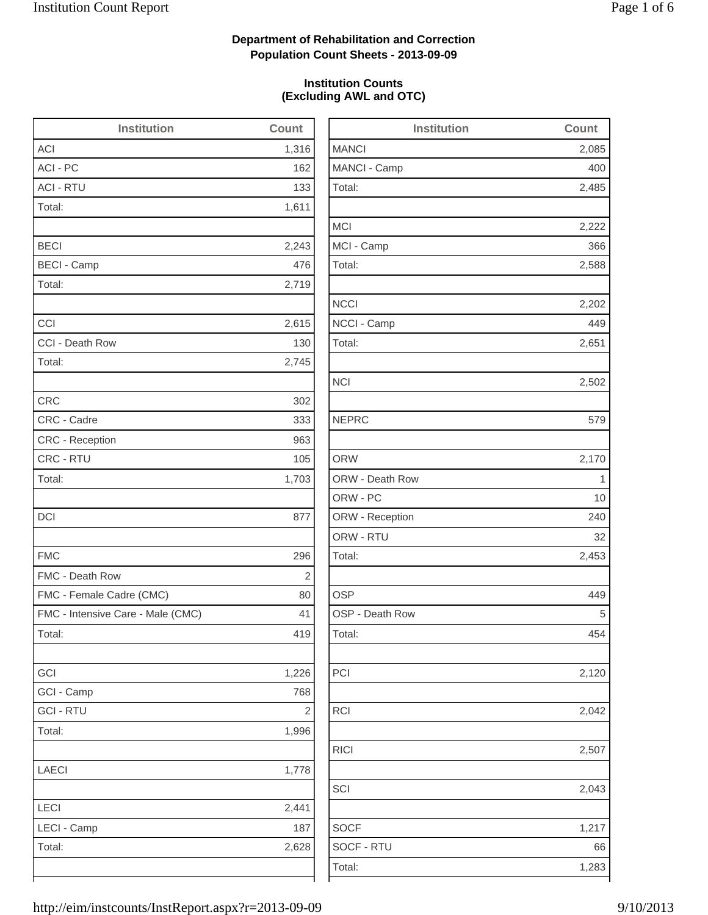2,485

2,222

2,588

2,202

2,502

2,170

2,453

2,120

2,042

2,507

2,043

## **Department of Rehabilitation and Correction Population Count Sheets - 2013-09-09**

### **Institution Counts (Excluding AWL and OTC)**

| <b>Institution</b>                | Count          | <b>Institution</b> | Count        |
|-----------------------------------|----------------|--------------------|--------------|
| <b>ACI</b>                        | 1,316          | <b>MANCI</b>       | 2,085        |
| ACI - PC                          | 162            | MANCI - Camp       | 400          |
| <b>ACI - RTU</b>                  | 133            | Total:             | 2,485        |
| Total:                            | 1,611          |                    |              |
|                                   |                | <b>MCI</b>         | 2,222        |
| <b>BECI</b>                       | 2,243          | MCI - Camp         | 366          |
| <b>BECI - Camp</b>                | 476            | Total:             | 2,588        |
| Total:                            | 2,719          |                    |              |
|                                   |                | <b>NCCI</b>        | 2,202        |
| CCI                               | 2,615          | NCCI - Camp        | 449          |
| CCI - Death Row                   | 130            | Total:             | 2,651        |
| Total:                            | 2,745          |                    |              |
|                                   |                | <b>NCI</b>         | 2,502        |
| <b>CRC</b>                        | 302            |                    |              |
| CRC - Cadre                       | 333            | <b>NEPRC</b>       | 579          |
| CRC - Reception                   | 963            |                    |              |
| CRC - RTU                         | 105            | <b>ORW</b>         | 2,170        |
| Total:                            | 1,703          | ORW - Death Row    | $\mathbf{1}$ |
|                                   |                | ORW - PC           | 10           |
| <b>DCI</b>                        | 877            | ORW - Reception    | 240          |
|                                   |                | ORW - RTU          | 32           |
| <b>FMC</b>                        | 296            | Total:             | 2,453        |
| FMC - Death Row                   | $\sqrt{2}$     |                    |              |
| FMC - Female Cadre (CMC)          | 80             | <b>OSP</b>         | 449          |
| FMC - Intensive Care - Male (CMC) | 41             | OSP - Death Row    | 5            |
| Total:                            | 419            | Total:             | 454          |
| GCI                               | 1,226          | PCI                | 2,120        |
| GCI - Camp                        | 768            |                    |              |
| <b>GCI - RTU</b>                  | $\overline{2}$ | <b>RCI</b>         | 2,042        |
| Total:                            | 1,996          |                    |              |
|                                   |                | <b>RICI</b>        | 2,507        |
| LAECI                             | 1,778          |                    |              |
|                                   |                | SCI                | 2,043        |
| LECI                              | 2,441          |                    |              |
| LECI - Camp                       | 187            | <b>SOCF</b>        | 1,217        |
| Total:                            | 2,628          | SOCF - RTU         | 66           |
|                                   |                | Total:             | 1,283        |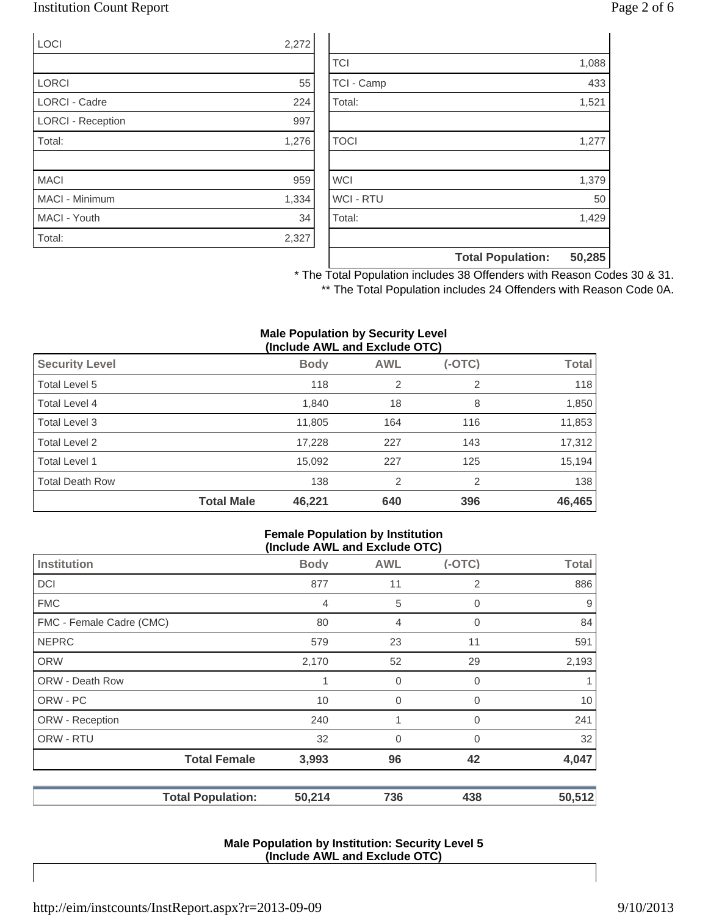## Institution Count Report Page 2 of 6

| LOCI                     | 2,272 |
|--------------------------|-------|
|                          |       |
| <b>LORCI</b>             | 55    |
| <b>LORCI - Cadre</b>     | 224   |
| <b>LORCI - Reception</b> | 997   |
| Total:                   | 1,276 |
|                          |       |
| <b>MACI</b>              | 959   |
| MACI - Minimum           | 1,334 |
| MACI - Youth             | 34    |
| Total:                   | 2,327 |

|                  | <b>Total Population:</b> | 50,285 |
|------------------|--------------------------|--------|
|                  |                          |        |
| Total:           |                          | 1,429  |
| <b>WCI - RTU</b> |                          | 50     |
| <b>WCI</b>       |                          | 1,379  |
|                  |                          |        |
| <b>TOCI</b>      |                          | 1,277  |
|                  |                          |        |
| Total:           |                          | 1,521  |
| TCI - Camp       |                          | 433    |
| <b>TCI</b>       |                          | 1,088  |

\* The Total Population includes 38 Offenders with Reason Codes 30 & 31. \*\* The Total Population includes 24 Offenders with Reason Code 0A.

#### **Male Population by Security Level (Include AWL and Exclude OTC)**

|                        |                   | , <del>.</del> |                |          |              |
|------------------------|-------------------|----------------|----------------|----------|--------------|
| <b>Security Level</b>  |                   | <b>Body</b>    | <b>AWL</b>     | $(-OTC)$ | <b>Total</b> |
| Total Level 5          |                   | 118            | $\overline{2}$ | 2        | 118          |
| <b>Total Level 4</b>   |                   | 1,840          | 18             | 8        | 1,850        |
| Total Level 3          |                   | 11,805         | 164            | 116      | 11,853       |
| Total Level 2          |                   | 17,228         | 227            | 143      | 17,312       |
| Total Level 1          |                   | 15,092         | 227            | 125      | 15,194       |
| <b>Total Death Row</b> |                   | 138            | $\overline{2}$ | 2        | 138          |
|                        | <b>Total Male</b> | 46,221         | 640            | 396      | 46,465       |

#### **Female Population by Institution (Include AWL and Exclude OTC)**

| (II)                     |                |                |          |              |  |
|--------------------------|----------------|----------------|----------|--------------|--|
| <b>Institution</b>       | <b>Body</b>    | <b>AWL</b>     | $(-OTC)$ | <b>Total</b> |  |
| <b>DCI</b>               | 877            | 11             | 2        | 886          |  |
| <b>FMC</b>               | $\overline{4}$ | 5              | 0        | 9            |  |
| FMC - Female Cadre (CMC) | 80             | $\overline{4}$ | 0        | 84           |  |
| <b>NEPRC</b>             | 579            | 23             | 11       | 591          |  |
| <b>ORW</b>               | 2,170          | 52             | 29       | 2,193        |  |
| <b>ORW - Death Row</b>   | 1              | 0              | 0        | 1            |  |
| ORW - PC                 | 10             | $\overline{0}$ | 0        | 10           |  |
| ORW - Reception          | 240            | 1              | $\Omega$ | 241          |  |
| ORW - RTU                | 32             | $\overline{0}$ | $\Omega$ | 32           |  |
| <b>Total Female</b>      | 3,993          | 96             | 42       | 4,047        |  |
| <b>Total Population:</b> | 50,214         | 736            | 438      | 50,512       |  |

#### **Male Population by Institution: Security Level 5 (Include AWL and Exclude OTC)**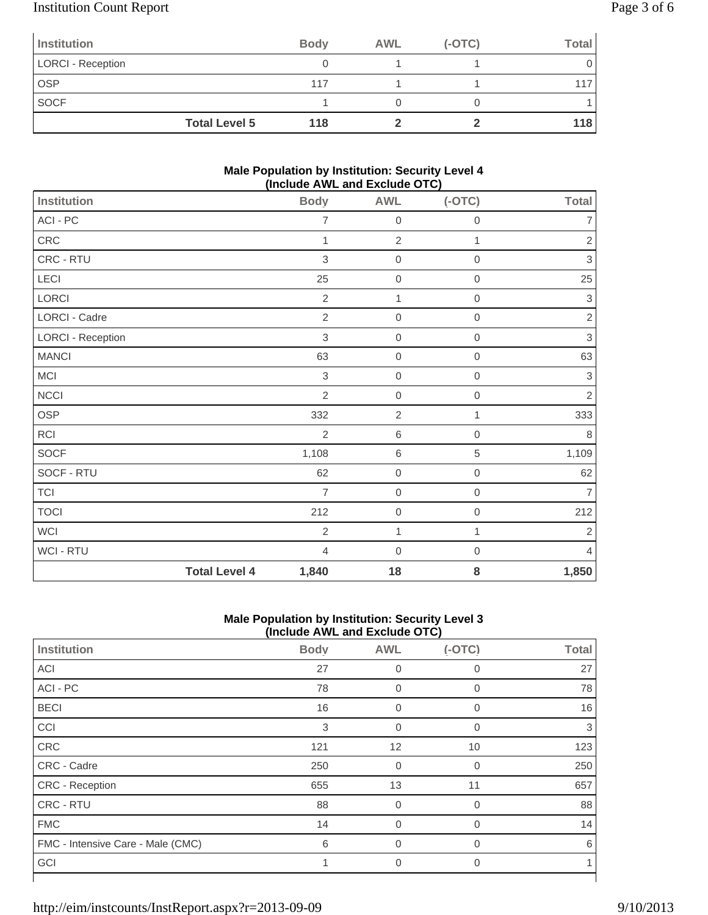# Institution Count Report Page 3 of 6

| Institution              |                      | <b>Body</b> | <b>AWL</b> | $(-OTC)$ | <b>Total</b> |
|--------------------------|----------------------|-------------|------------|----------|--------------|
| <b>LORCI - Reception</b> |                      |             |            |          |              |
| <b>OSP</b>               |                      | 117         |            |          |              |
| <b>SOCF</b>              |                      |             |            |          |              |
|                          | <b>Total Level 5</b> | 118         |            |          | 118          |

### **Male Population by Institution: Security Level 4 (Include AWL and Exclude OTC)**

|                          |                      |                |                  | - - . - <i>,</i> |                           |
|--------------------------|----------------------|----------------|------------------|------------------|---------------------------|
| Institution              |                      | <b>Body</b>    | <b>AWL</b>       | $(-OTC)$         | <b>Total</b>              |
| ACI - PC                 |                      | $\overline{7}$ | $\mathbf 0$      | $\mathbf 0$      | $\overline{7}$            |
| CRC                      |                      | 1              | $\overline{2}$   | 1                | $\mathbf{2}$              |
| CRC - RTU                |                      | $\sqrt{3}$     | $\boldsymbol{0}$ | $\,0\,$          | 3                         |
| LECI                     |                      | 25             | $\mathbf 0$      | 0                | 25                        |
| LORCI                    |                      | $\overline{2}$ | $\mathbf{1}$     | $\,0\,$          | 3                         |
| LORCI - Cadre            |                      | $\overline{2}$ | $\mathbf 0$      | $\mathbf 0$      | $\overline{2}$            |
| <b>LORCI - Reception</b> |                      | $\sqrt{3}$     | $\mathbf 0$      | $\mathbf 0$      | $\ensuremath{\mathsf{3}}$ |
| <b>MANCI</b>             |                      | 63             | $\mathbf 0$      | $\mathbf{0}$     | 63                        |
| MCI                      |                      | $\mathbf{3}$   | $\mathbf 0$      | $\mathbf 0$      | 3                         |
| <b>NCCI</b>              |                      | $\overline{2}$ | $\boldsymbol{0}$ | $\mathbf 0$      | $\overline{2}$            |
| OSP                      |                      | 332            | $\sqrt{2}$       | 1                | 333                       |
| <b>RCI</b>               |                      | $\overline{2}$ | $\,6\,$          | $\mathbf 0$      | $\,8\,$                   |
| SOCF                     |                      | 1,108          | $\,6\,$          | $\sqrt{5}$       | 1,109                     |
| SOCF - RTU               |                      | 62             | $\mathbf 0$      | $\boldsymbol{0}$ | 62                        |
| <b>TCI</b>               |                      | $\overline{7}$ | $\mathbf 0$      | $\boldsymbol{0}$ | $\overline{7}$            |
| <b>TOCI</b>              |                      | 212            | $\mathbf 0$      | $\mathbf 0$      | 212                       |
| <b>WCI</b>               |                      | $\overline{2}$ | $\mathbf{1}$     | 1                | $\mathbf{2}$              |
| WCI - RTU                |                      | $\overline{4}$ | $\boldsymbol{0}$ | 0                | 4                         |
|                          | <b>Total Level 4</b> | 1,840          | 18               | 8                | 1,850                     |

### **Male Population by Institution: Security Level 3 (Include AWL and Exclude OTC)**

| $(1.0100 \times 1.111)$ and Exolute $(0.001)$ |             |                |                |              |  |
|-----------------------------------------------|-------------|----------------|----------------|--------------|--|
| Institution                                   | <b>Body</b> | <b>AWL</b>     | $(-OTC)$       | <b>Total</b> |  |
| <b>ACI</b>                                    | 27          | 0              | 0              | 27           |  |
| ACI - PC                                      | 78          | 0              | $\mathbf 0$    | 78           |  |
| <b>BECI</b>                                   | 16          | $\mathbf 0$    | $\mathbf 0$    | 16           |  |
| CCI                                           | 3           | $\mathbf 0$    | $\mathbf 0$    | 3            |  |
| CRC                                           | 121         | 12             | 10             | 123          |  |
| CRC - Cadre                                   | 250         | $\mathbf 0$    | $\mathbf 0$    | 250          |  |
| CRC - Reception                               | 655         | 13             | 11             | 657          |  |
| CRC - RTU                                     | 88          | $\Omega$       | $\Omega$       | 88           |  |
| <b>FMC</b>                                    | 14          | $\overline{0}$ | $\overline{0}$ | 14           |  |
| FMC - Intensive Care - Male (CMC)             | 6           | $\mathbf 0$    | 0              | 6            |  |
| GCI                                           |             | 0              | $\Omega$       |              |  |
|                                               |             |                |                |              |  |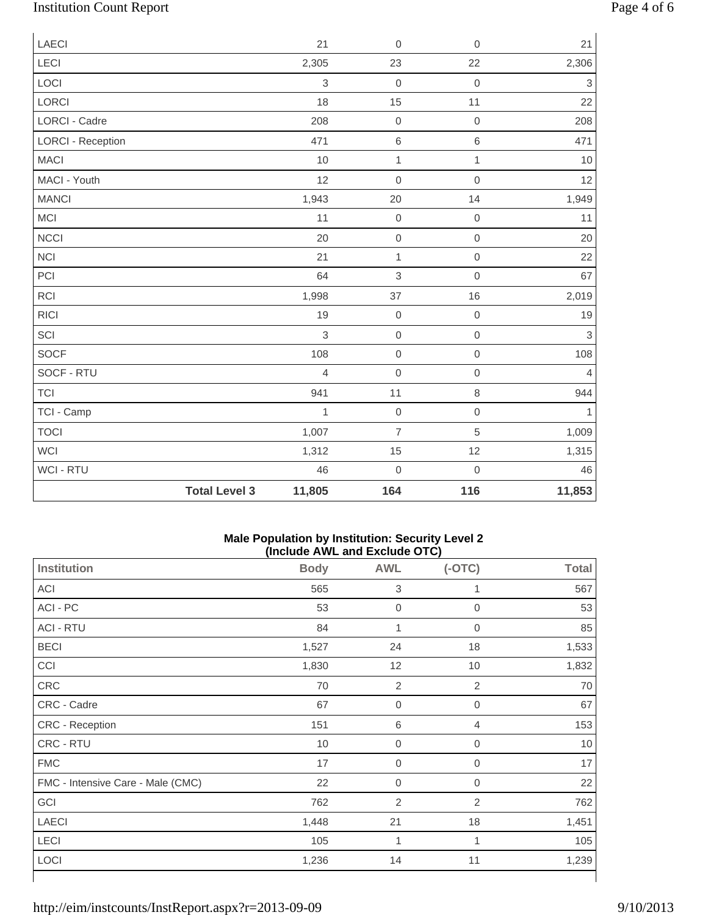# Institution Count Report Page 4 of 6

| <b>LAECI</b>             |                      | 21             | $\mathbf 0$    | $\mathbf 0$         | 21                        |
|--------------------------|----------------------|----------------|----------------|---------------------|---------------------------|
| <b>LECI</b>              |                      | 2,305          | 23             | 22                  | 2,306                     |
| LOCI                     |                      | $\mathsf 3$    | $\mathbf 0$    | $\mathbf 0$         | $\ensuremath{\mathsf{3}}$ |
| <b>LORCI</b>             |                      | 18             | 15             | 11                  | 22                        |
| <b>LORCI - Cadre</b>     |                      | 208            | $\mathbf 0$    | $\mathbf 0$         | 208                       |
| <b>LORCI - Reception</b> |                      | 471            | $\,6$          | $\,6$               | 471                       |
| <b>MACI</b>              |                      | 10             | $\mathbf{1}$   | $\mathbf{1}$        | 10                        |
| MACI - Youth             |                      | 12             | $\mbox{O}$     | $\mathbf 0$         | 12                        |
| <b>MANCI</b>             |                      | 1,943          | 20             | 14                  | 1,949                     |
| MCI                      |                      | 11             | $\mbox{O}$     | $\mbox{O}$          | 11                        |
| <b>NCCI</b>              |                      | 20             | $\mathbf 0$    | $\mbox{O}$          | 20                        |
| <b>NCI</b>               |                      | 21             | $\mathbf{1}$   | $\mathsf{O}\xspace$ | 22                        |
| PCI                      |                      | 64             | $\,$ 3 $\,$    | $\mathbf 0$         | 67                        |
| <b>RCI</b>               |                      | 1,998          | 37             | 16                  | 2,019                     |
| <b>RICI</b>              |                      | 19             | $\mathbf 0$    | $\mathsf{O}\xspace$ | 19                        |
| SCI                      |                      | 3              | $\mathbf 0$    | $\mathsf{O}\xspace$ | $\ensuremath{\mathsf{3}}$ |
| <b>SOCF</b>              |                      | 108            | $\mbox{O}$     | $\mathbf 0$         | 108                       |
| SOCF - RTU               |                      | $\overline{4}$ | $\mathbf 0$    | $\mathsf{O}\xspace$ | $\overline{4}$            |
| <b>TCI</b>               |                      | 941            | 11             | $\,8\,$             | 944                       |
| TCI - Camp               |                      | $\mathbf{1}$   | $\mathbf 0$    | $\mathbf 0$         | 1                         |
| <b>TOCI</b>              |                      | 1,007          | $\overline{7}$ | $\,$ 5 $\,$         | 1,009                     |
| <b>WCI</b>               |                      | 1,312          | 15             | 12                  | 1,315                     |
| WCI - RTU                |                      | 46             | $\mbox{O}$     | $\mathbf 0$         | 46                        |
|                          | <b>Total Level 3</b> | 11,805         | 164            | 116                 | 11,853                    |

### **Male Population by Institution: Security Level 2 (Include AWL and Exclude OTC)**

| <b>Institution</b>                | <b>Body</b> | <b>AWL</b>       | $(-OTC)$            | <b>Total</b> |
|-----------------------------------|-------------|------------------|---------------------|--------------|
| ACI                               | 565         | 3                | 1                   | 567          |
| ACI - PC                          | 53          | $\boldsymbol{0}$ | $\mathsf{O}\xspace$ | 53           |
| <b>ACI - RTU</b>                  | 84          | 1                | $\mathbf 0$         | 85           |
| <b>BECI</b>                       | 1,527       | 24               | 18                  | 1,533        |
| CCI                               | 1,830       | 12               | $10$                | 1,832        |
| CRC                               | 70          | $\overline{2}$   | $\overline{2}$      | 70           |
| CRC - Cadre                       | 67          | $\boldsymbol{0}$ | $\boldsymbol{0}$    | 67           |
| CRC - Reception                   | 151         | 6                | 4                   | 153          |
| CRC - RTU                         | 10          | $\mathbf 0$      | $\mathbf 0$         | 10           |
| <b>FMC</b>                        | 17          | $\mathbf 0$      | 0                   | 17           |
| FMC - Intensive Care - Male (CMC) | 22          | $\boldsymbol{0}$ | $\boldsymbol{0}$    | 22           |
| GCI                               | 762         | $\overline{2}$   | $\mathbf{2}$        | 762          |
| <b>LAECI</b>                      | 1,448       | 21               | 18                  | 1,451        |
| LECI                              | 105         | 1                | 1                   | 105          |
| LOCI                              | 1,236       | 14               | 11                  | 1,239        |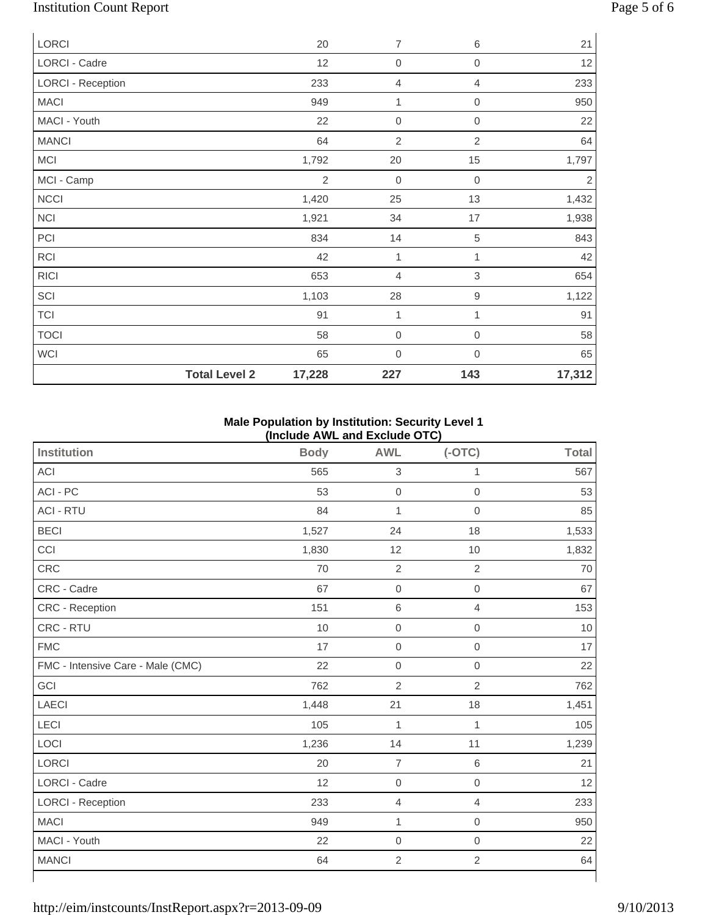# Institution Count Report Page 5 of 6

| <b>LORCI</b>             | 20             | $\overline{7}$   | $\,6$            | 21     |
|--------------------------|----------------|------------------|------------------|--------|
| LORCI - Cadre            | 12             | $\mathbf 0$      | $\mathbf 0$      | 12     |
| <b>LORCI - Reception</b> | 233            | 4                | $\overline{4}$   | 233    |
| <b>MACI</b>              | 949            | 1                | $\mathbf 0$      | 950    |
| MACI - Youth             | 22             | 0                | $\boldsymbol{0}$ | 22     |
| <b>MANCI</b>             | 64             | $\overline{2}$   | 2                | 64     |
| <b>MCI</b>               | 1,792          | $20\,$           | 15               | 1,797  |
| MCI - Camp               | $\overline{2}$ | 0                | $\boldsymbol{0}$ | 2      |
| <b>NCCI</b>              | 1,420          | 25               | 13               | 1,432  |
| <b>NCI</b>               | 1,921          | 34               | 17               | 1,938  |
| PCI                      | 834            | 14               | $\sqrt{5}$       | 843    |
| <b>RCI</b>               | 42             | 1                | 1                | 42     |
| <b>RICI</b>              | 653            | 4                | $\mathfrak{B}$   | 654    |
| SCI                      | 1,103          | 28               | $\boldsymbol{9}$ | 1,122  |
| <b>TCI</b>               | 91             | 1                | 1                | 91     |
| <b>TOCI</b>              | 58             | $\boldsymbol{0}$ | $\mathbf 0$      | 58     |
| <b>WCI</b>               | 65             | 0                | $\boldsymbol{0}$ | 65     |
| <b>Total Level 2</b>     | 17,228         | 227              | 143              | 17,312 |

### **Male Population by Institution: Security Level 1 (Include AWL and Exclude OTC)**

| <b>Institution</b>                | <b>Body</b> | <b>AWL</b>     | $(-OTC)$            | <b>Total</b> |
|-----------------------------------|-------------|----------------|---------------------|--------------|
| ACI                               | 565         | $\,$ 3 $\,$    | 1                   | 567          |
| ACI - PC                          | 53          | $\mathbf 0$    | $\mathbf 0$         | 53           |
| <b>ACI - RTU</b>                  | 84          | $\mathbf{1}$   | $\mathbf 0$         | 85           |
| <b>BECI</b>                       | 1,527       | 24             | 18                  | 1,533        |
| CCI                               | 1,830       | 12             | 10                  | 1,832        |
| CRC                               | 70          | $\overline{2}$ | $\overline{2}$      | $70\,$       |
| CRC - Cadre                       | 67          | $\mathbf 0$    | $\mbox{O}$          | 67           |
| CRC - Reception                   | 151         | $\,6$          | $\overline{4}$      | 153          |
| CRC - RTU                         | 10          | $\mathbf 0$    | $\mathbf 0$         | 10           |
| <b>FMC</b>                        | 17          | $\mathbf 0$    | $\mathbf 0$         | 17           |
| FMC - Intensive Care - Male (CMC) | 22          | $\mbox{O}$     | $\mathbf 0$         | 22           |
| GCI                               | 762         | $\overline{2}$ | $\sqrt{2}$          | 762          |
| <b>LAECI</b>                      | 1,448       | 21             | 18                  | 1,451        |
| LECI                              | 105         | $\mathbf{1}$   | 1                   | 105          |
| LOCI                              | 1,236       | 14             | 11                  | 1,239        |
| LORCI                             | 20          | $\overline{7}$ | $\,6\,$             | 21           |
| LORCI - Cadre                     | 12          | $\mathbf 0$    | $\mathsf{O}\xspace$ | 12           |
| <b>LORCI - Reception</b>          | 233         | $\overline{4}$ | 4                   | 233          |
| <b>MACI</b>                       | 949         | 1              | $\mathsf{O}\xspace$ | 950          |
| MACI - Youth                      | 22          | $\mbox{O}$     | $\,0\,$             | 22           |
| <b>MANCI</b>                      | 64          | $\sqrt{2}$     | $\mathbf 2$         | 64           |